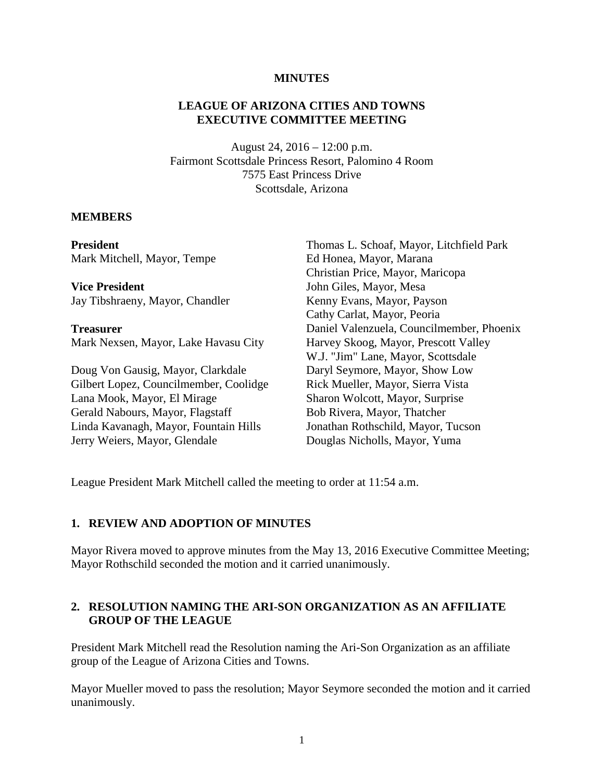#### **MINUTES**

#### **LEAGUE OF ARIZONA CITIES AND TOWNS EXECUTIVE COMMITTEE MEETING**

August 24, 2016 – 12:00 p.m. Fairmont Scottsdale Princess Resort, Palomino 4 Room 7575 East Princess Drive Scottsdale, Arizona

#### **MEMBERS**

**President** Mark Mitchell, Mayor, Tempe

**Vice President** Jay Tibshraeny, Mayor, Chandler

**Treasurer**

Mark Nexsen, Mayor, Lake Havasu City

Doug Von Gausig, Mayor, Clarkdale Gilbert Lopez, Councilmember, Coolidge Lana Mook, Mayor, El Mirage Gerald Nabours, Mayor, Flagstaff Linda Kavanagh, Mayor, Fountain Hills Jerry Weiers, Mayor, Glendale

Thomas L. Schoaf, Mayor, Litchfield Park Ed Honea, Mayor, Marana Christian Price, Mayor, Maricopa John Giles, Mayor, Mesa Kenny Evans, Mayor, Payson Cathy Carlat, Mayor, Peoria Daniel Valenzuela, Councilmember, Phoenix Harvey Skoog, Mayor, Prescott Valley W.J. "Jim" Lane, Mayor, Scottsdale Daryl Seymore, Mayor, Show Low Rick Mueller, Mayor, Sierra Vista Sharon Wolcott, Mayor, Surprise Bob Rivera, Mayor, Thatcher Jonathan Rothschild, Mayor, Tucson Douglas Nicholls, Mayor, Yuma

League President Mark Mitchell called the meeting to order at 11:54 a.m.

#### **1. REVIEW AND ADOPTION OF MINUTES**

Mayor Rivera moved to approve minutes from the May 13, 2016 Executive Committee Meeting; Mayor Rothschild seconded the motion and it carried unanimously.

#### **2. RESOLUTION NAMING THE ARI-SON ORGANIZATION AS AN AFFILIATE GROUP OF THE LEAGUE**

President Mark Mitchell read the Resolution naming the Ari-Son Organization as an affiliate group of the League of Arizona Cities and Towns.

Mayor Mueller moved to pass the resolution; Mayor Seymore seconded the motion and it carried unanimously.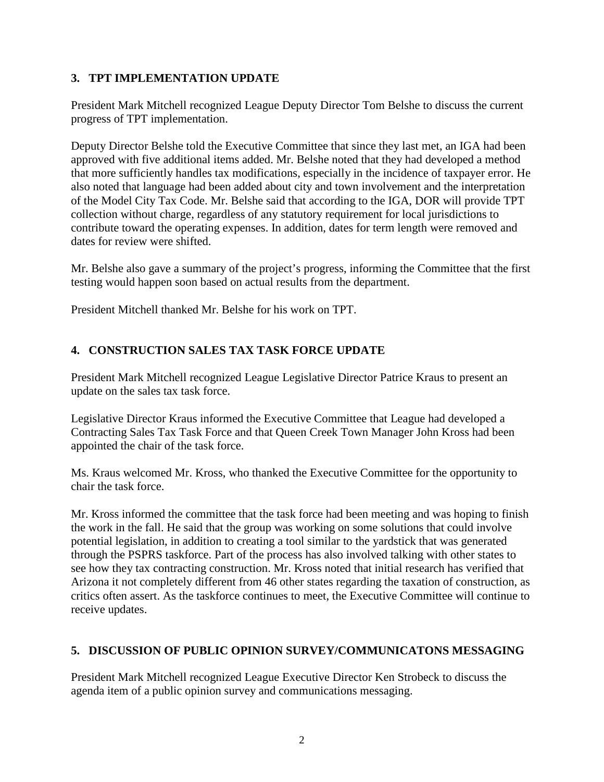## **3. TPT IMPLEMENTATION UPDATE**

President Mark Mitchell recognized League Deputy Director Tom Belshe to discuss the current progress of TPT implementation.

Deputy Director Belshe told the Executive Committee that since they last met, an IGA had been approved with five additional items added. Mr. Belshe noted that they had developed a method that more sufficiently handles tax modifications, especially in the incidence of taxpayer error. He also noted that language had been added about city and town involvement and the interpretation of the Model City Tax Code. Mr. Belshe said that according to the IGA, DOR will provide TPT collection without charge, regardless of any statutory requirement for local jurisdictions to contribute toward the operating expenses. In addition, dates for term length were removed and dates for review were shifted.

Mr. Belshe also gave a summary of the project's progress, informing the Committee that the first testing would happen soon based on actual results from the department.

President Mitchell thanked Mr. Belshe for his work on TPT.

## **4. CONSTRUCTION SALES TAX TASK FORCE UPDATE**

President Mark Mitchell recognized League Legislative Director Patrice Kraus to present an update on the sales tax task force.

Legislative Director Kraus informed the Executive Committee that League had developed a Contracting Sales Tax Task Force and that Queen Creek Town Manager John Kross had been appointed the chair of the task force.

Ms. Kraus welcomed Mr. Kross, who thanked the Executive Committee for the opportunity to chair the task force.

Mr. Kross informed the committee that the task force had been meeting and was hoping to finish the work in the fall. He said that the group was working on some solutions that could involve potential legislation, in addition to creating a tool similar to the yardstick that was generated through the PSPRS taskforce. Part of the process has also involved talking with other states to see how they tax contracting construction. Mr. Kross noted that initial research has verified that Arizona it not completely different from 46 other states regarding the taxation of construction, as critics often assert. As the taskforce continues to meet, the Executive Committee will continue to receive updates.

### **5. DISCUSSION OF PUBLIC OPINION SURVEY/COMMUNICATONS MESSAGING**

President Mark Mitchell recognized League Executive Director Ken Strobeck to discuss the agenda item of a public opinion survey and communications messaging.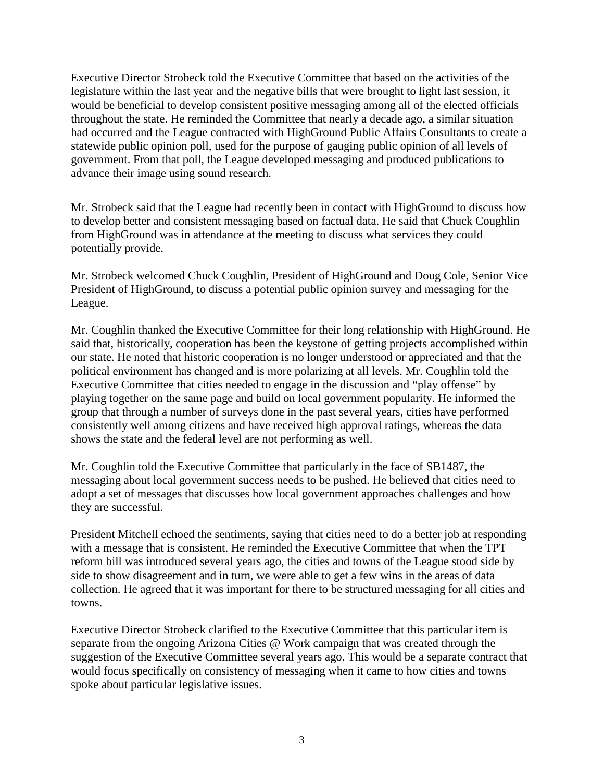Executive Director Strobeck told the Executive Committee that based on the activities of the legislature within the last year and the negative bills that were brought to light last session, it would be beneficial to develop consistent positive messaging among all of the elected officials throughout the state. He reminded the Committee that nearly a decade ago, a similar situation had occurred and the League contracted with HighGround Public Affairs Consultants to create a statewide public opinion poll, used for the purpose of gauging public opinion of all levels of government. From that poll, the League developed messaging and produced publications to advance their image using sound research.

Mr. Strobeck said that the League had recently been in contact with HighGround to discuss how to develop better and consistent messaging based on factual data. He said that Chuck Coughlin from HighGround was in attendance at the meeting to discuss what services they could potentially provide.

Mr. Strobeck welcomed Chuck Coughlin, President of HighGround and Doug Cole, Senior Vice President of HighGround, to discuss a potential public opinion survey and messaging for the League.

Mr. Coughlin thanked the Executive Committee for their long relationship with HighGround. He said that, historically, cooperation has been the keystone of getting projects accomplished within our state. He noted that historic cooperation is no longer understood or appreciated and that the political environment has changed and is more polarizing at all levels. Mr. Coughlin told the Executive Committee that cities needed to engage in the discussion and "play offense" by playing together on the same page and build on local government popularity. He informed the group that through a number of surveys done in the past several years, cities have performed consistently well among citizens and have received high approval ratings, whereas the data shows the state and the federal level are not performing as well.

Mr. Coughlin told the Executive Committee that particularly in the face of SB1487, the messaging about local government success needs to be pushed. He believed that cities need to adopt a set of messages that discusses how local government approaches challenges and how they are successful.

President Mitchell echoed the sentiments, saying that cities need to do a better job at responding with a message that is consistent. He reminded the Executive Committee that when the TPT reform bill was introduced several years ago, the cities and towns of the League stood side by side to show disagreement and in turn, we were able to get a few wins in the areas of data collection. He agreed that it was important for there to be structured messaging for all cities and towns.

Executive Director Strobeck clarified to the Executive Committee that this particular item is separate from the ongoing Arizona Cities @ Work campaign that was created through the suggestion of the Executive Committee several years ago. This would be a separate contract that would focus specifically on consistency of messaging when it came to how cities and towns spoke about particular legislative issues.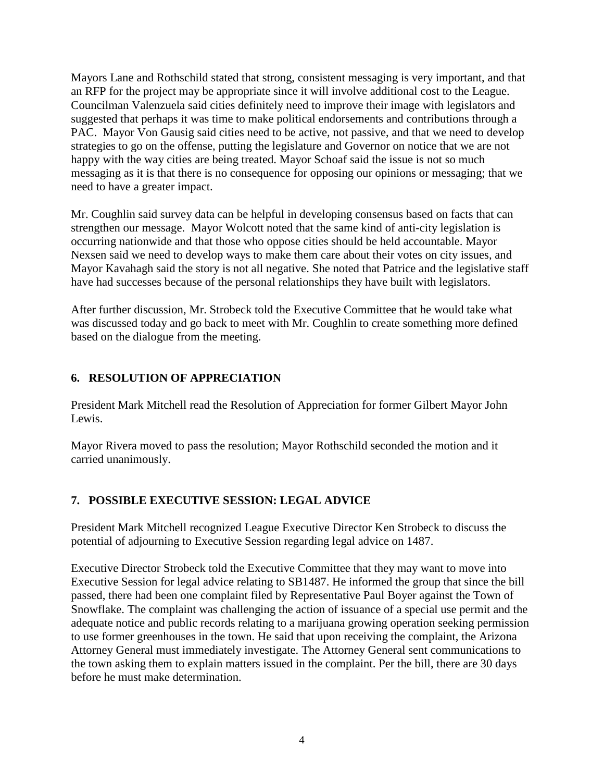Mayors Lane and Rothschild stated that strong, consistent messaging is very important, and that an RFP for the project may be appropriate since it will involve additional cost to the League. Councilman Valenzuela said cities definitely need to improve their image with legislators and suggested that perhaps it was time to make political endorsements and contributions through a PAC. Mayor Von Gausig said cities need to be active, not passive, and that we need to develop strategies to go on the offense, putting the legislature and Governor on notice that we are not happy with the way cities are being treated. Mayor Schoaf said the issue is not so much messaging as it is that there is no consequence for opposing our opinions or messaging; that we need to have a greater impact.

Mr. Coughlin said survey data can be helpful in developing consensus based on facts that can strengthen our message. Mayor Wolcott noted that the same kind of anti-city legislation is occurring nationwide and that those who oppose cities should be held accountable. Mayor Nexsen said we need to develop ways to make them care about their votes on city issues, and Mayor Kavahagh said the story is not all negative. She noted that Patrice and the legislative staff have had successes because of the personal relationships they have built with legislators.

After further discussion, Mr. Strobeck told the Executive Committee that he would take what was discussed today and go back to meet with Mr. Coughlin to create something more defined based on the dialogue from the meeting.

# **6. RESOLUTION OF APPRECIATION**

President Mark Mitchell read the Resolution of Appreciation for former Gilbert Mayor John Lewis.

Mayor Rivera moved to pass the resolution; Mayor Rothschild seconded the motion and it carried unanimously.

# **7. POSSIBLE EXECUTIVE SESSION: LEGAL ADVICE**

President Mark Mitchell recognized League Executive Director Ken Strobeck to discuss the potential of adjourning to Executive Session regarding legal advice on 1487.

Executive Director Strobeck told the Executive Committee that they may want to move into Executive Session for legal advice relating to SB1487. He informed the group that since the bill passed, there had been one complaint filed by Representative Paul Boyer against the Town of Snowflake. The complaint was challenging the action of issuance of a special use permit and the adequate notice and public records relating to a marijuana growing operation seeking permission to use former greenhouses in the town. He said that upon receiving the complaint, the Arizona Attorney General must immediately investigate. The Attorney General sent communications to the town asking them to explain matters issued in the complaint. Per the bill, there are 30 days before he must make determination.